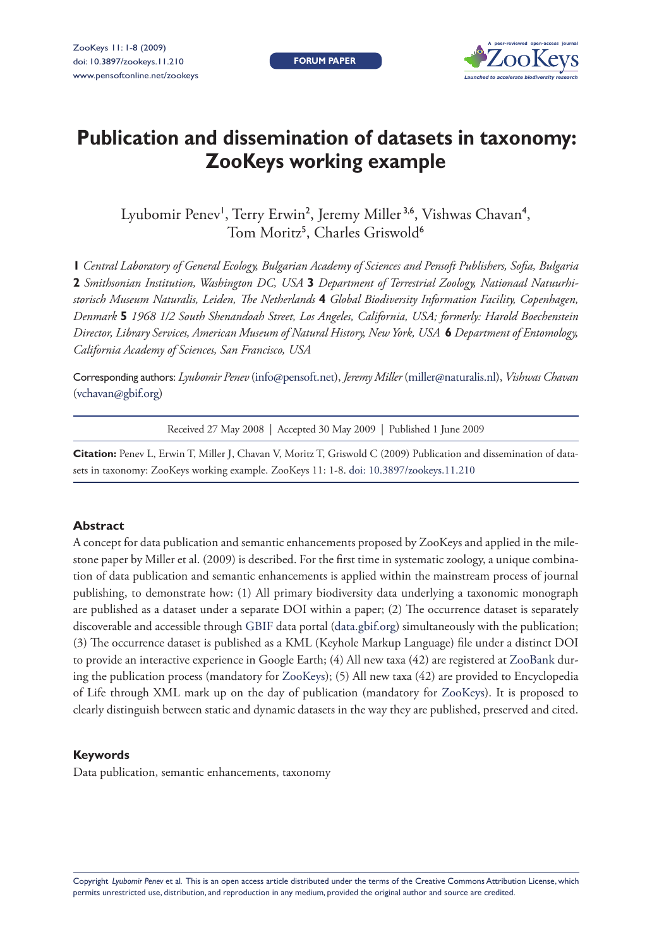**FORUM PAPER**



# **Publication and dissemination of datasets in taxonomy: ZooKeys working example**

Lyubomir Penev', Terry Erwin<sup>2</sup>, Jeremy Miller<sup>3,6</sup>, Vishwas Chavan<sup>4</sup>, Tom Moritz<sup>5</sup>, Charles Griswold<sup>6</sup>

**1** Central Laboratory of General Ecology, Bulgarian Academy of Sciences and Pensoft Publishers, Sofia, Bulgaria **2** *Smithsonian Institution, Washington DC, USA* **3** *Department of Terrestrial Zoology, Nationaal Natuurhistorisch Museum Naturalis, Leiden, Th e Netherlands* **4** *Global Biodiversity Information Facility, Copenhagen, Denmark* **5** *1968 1/2 South Shenandoah Street, Los Angeles, California, USA; formerly: Harold Boechenstein Director, Library Services, American Museum of Natural History, New York, USA* **6** *Department of Entomology, California Academy of Sciences, San Francisco, USA*

Corresponding authors: *Lyubomir Penev* [\(info@pensoft.net\)](mailto:info@pensoft.net), *Jeremy Miller* ([miller@naturalis.nl\)](mailto:miller@naturalis.nl), *Vishwas Chavan*  [\(vchavan@gbif.org\)](mailto:vchavan@gbif.org)

Received 27 May 2008 | Accepted 30 May 2009 | Published 1 June 2009

**Citation:** Penev L, Erwin T, Miller J, Chavan V, Moritz T, Griswold C (2009) Publication and dissemination of datasets in taxonomy: ZooKeys working example. ZooKeys 11: 1-8. [doi: 10.3897/zookeys.11.210](http://dx.doi.org/10.3897/zookeys.11.210)

## **Abstract**

A concept for data publication and semantic enhancements proposed by [ZooKeys](www.pensoftonline.net/zookeys) and applied in the milestone paper by Miller et al. (2009) is described. For the first time in systematic zoology, a unique combination of data publication and semantic enhancements is applied within the mainstream process of journal publishing, to demonstrate how: (1) All primary biodiversity data underlying a taxonomic monograph are published as a dataset under a separate DOI within a paper; (2) The occurrence dataset is separately discoverable and accessible through [GBIF](http://www.gbif.org) data portal [\(data.gbif.org](data.gbif.org)) simultaneously with the publication; (3) The occurrence dataset is published as a KML (Keyhole Markup Language) file under a distinct DOI to provide an interactive experience in Google Earth; (4) All new taxa (42) are registered at [ZooBank](http://www.zoobank.org) dur[ing the publication process \(mandatory for Z](http://www.eol.org)[ooKey](www.pensoftonline.net/zookeys)[s\); \(5\) All new taxa \(42\) are provided to Encyclopedia](http://www.eol.org) of Life through XML mark up on the day of publication (mandatory for [ZooKeys\)](www.pensoftonline.net/zookeys). It is proposed to clearly distinguish between static and dynamic datasets in the way they are published, preserved and cited.

#### **Keywords**

Data publication, semantic enhancements, taxonomy

Copyright *Lyubomir Penev* et al*.* This is an open access article distributed under the terms of the [Creative Commons Attribution License,](http://creativecommons.org/licenses/by/3.0/) which permits unrestricted use, distribution, and reproduction in any medium, provided the original author and source are credited.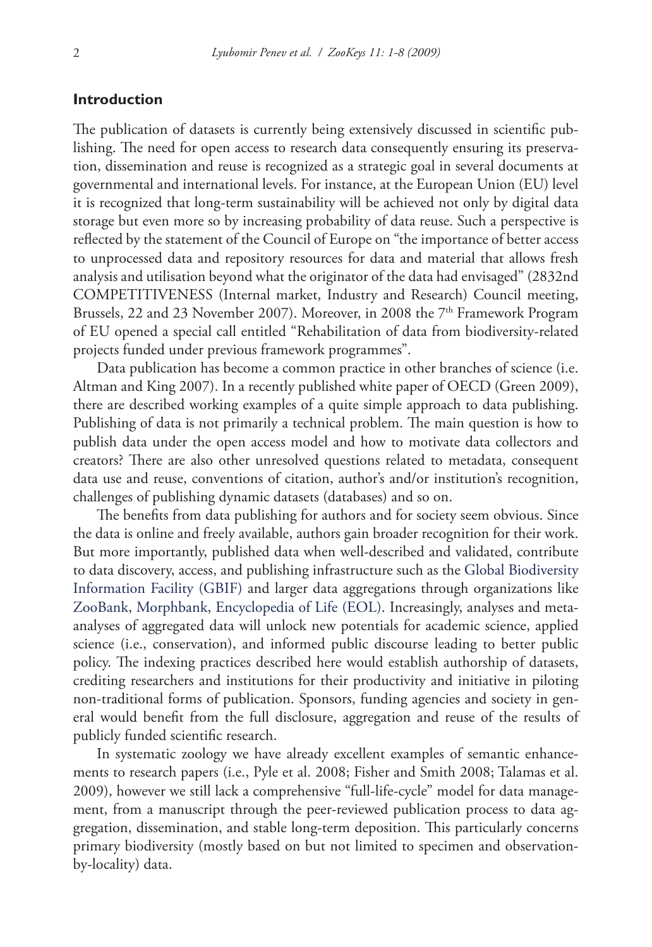## **Introduction**

The publication of datasets is currently being extensively discussed in scientific publishing. The need for open access to research data consequently ensuring its preservation, dissemination and reuse is recognized as a strategic goal in several documents at governmental and international levels. For instance, at the European Union (EU) level it is recognized that long-term sustainability will be achieved not only by digital data storage but even more so by increasing probability of data reuse. Such a perspective is reflected by the statement of the Council of Europe on "the importance of better access to unprocessed data and repository resources for data and material that allows fresh analysis and utilisation beyond what the originator of the data had envisaged" (2832nd COMPETITIVENESS (Internal market, Industry and Research) Council meeting, Brussels, 22 and 23 November 2007). Moreover, in 2008 the 7<sup>th</sup> Framework Program of EU opened a special call entitled "Rehabilitation of data from biodiversity-related projects funded under previous framework programmes".

Data publication has become a common practice in other branches of science (i.e. Altman and King 2007). In a recently published white paper of OECD (Green 2009), there are described working examples of a quite simple approach to data publishing. Publishing of data is not primarily a technical problem. The main question is how to publish data under the open access model and how to motivate data collectors and creators? There are also other unresolved questions related to metadata, consequent data use and reuse, conventions of citation, author's and/or institution's recognition, challenges of publishing dynamic datasets (databases) and so on.

The benefits from data publishing for authors and for society seem obvious. Since the data is online and freely available, authors gain broader recognition for their work. But more importantly, published data when well-described and validated, contribute [to data discovery, access, and publishing infrastructure such as the Global Biodiversity](http://www.gbif.org) Information Facility (GBIF) and larger data aggregations through organizations like [ZooBank](http://www.zoobank.org), [Morphbank,](http://www.morphbank.net) [Encyclopedia of Life \(EOL\).](http://www.eol.org) Increasingly, analyses and metaanalyses of aggregated data will unlock new potentials for academic science, applied science (i.e., conservation), and informed public discourse leading to better public policy. The indexing practices described here would establish authorship of datasets, crediting researchers and institutions for their productivity and initiative in piloting non-traditional forms of publication. Sponsors, funding agencies and society in general would benefit from the full disclosure, aggregation and reuse of the results of publicly funded scientific research.

In systematic zoology we have already excellent examples of semantic enhancements to research papers (i.e., Pyle et al. 2008; Fisher and Smith 2008; Talamas et al. 2009), however we still lack a comprehensive "full-life-cycle" model for data management, from a manuscript through the peer-reviewed publication process to data aggregation, dissemination, and stable long-term deposition. This particularly concerns primary biodiversity (mostly based on but not limited to specimen and observationby-locality) data.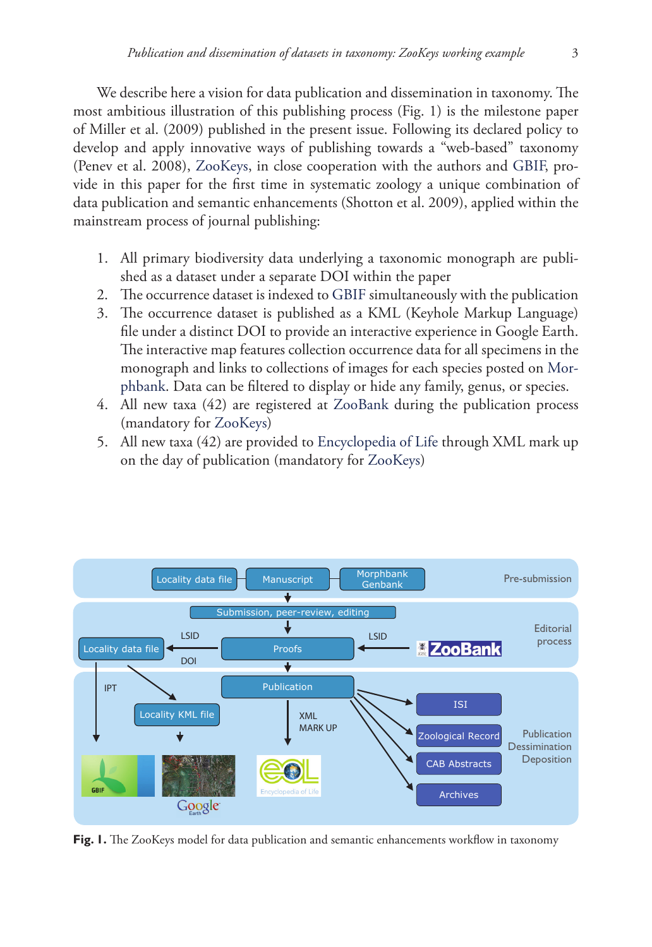We describe here a vision for data publication and dissemination in taxonomy. The most ambitious illustration of this publishing process (Fig. 1) is the milestone paper of Miller et al. (2009) published in the present issue. Following its declared policy to develop and apply innovative ways of publishing towards a "web-based" taxonomy (Penev et al. 2008), [ZooKeys](http://pensoftonline.net/zookeys), in close cooperation with the authors and [GBIF,](http://www.gbif.org) provide in this paper for the first time in systematic zoology a unique combination of data publication and semantic enhancements (Shotton et al. 2009), applied within the mainstream process of journal publishing:

- 1. All primary biodiversity data underlying a taxonomic monograph are published as a dataset under a separate DOI within the paper
- 2. The occurrence dataset is indexed to [GBIF](http://www.gbif.org) simultaneously with the publication
- 3. The occurrence dataset is published as a KML (Keyhole Markup Language) file under a distinct DOI to provide an interactive experience in Google Earth. The interactive map features collection occurrence data for all specimens in the [monograph and links to collections of images for each species posted on Mor](http://www.morphbank.net)phbank. Data can be filtered to display or hide any family, genus, or species.
- 4. All new taxa (42) are registered at [ZooBank](http://www.zoobank.org) during the publication process (mandatory for [ZooKeys\)](http://pensoftonline.net/zookeys)
- 5. All new taxa (42) are provided to [Encyclopedia of Life](http://www.eol.org) through XML mark up on the day of publication (mandatory for [ZooKeys\)](http://pensoftonline.net/zookeys)



Fig. 1. The ZooKeys model for data publication and semantic enhancements workflow in taxonomy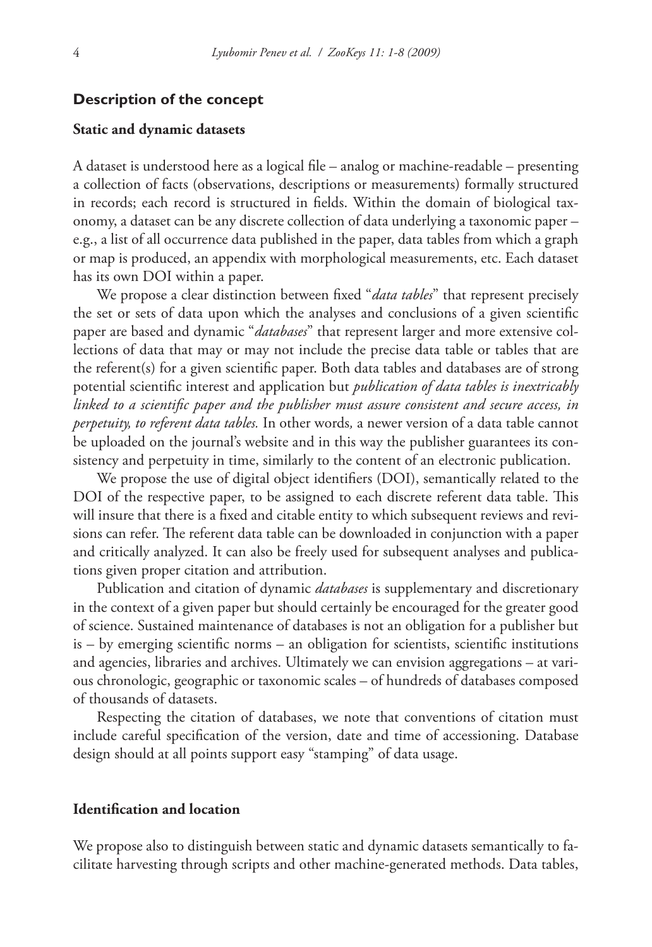## **Description of the concept**

#### **Static and dynamic datasets**

A dataset is understood here as a logical file – analog or machine-readable – presenting a collection of facts (observations, descriptions or measurements) formally structured in records; each record is structured in fields. Within the domain of biological taxonomy, a dataset can be any discrete collection of data underlying a taxonomic paper – e.g., a list of all occurrence data published in the paper, data tables from which a graph or map is produced, an appendix with morphological measurements, etc. Each dataset has its own DOI within a paper.

We propose a clear distinction between fixed "*data tables*" that represent precisely the set or sets of data upon which the analyses and conclusions of a given scientific paper are based and dynamic "*databases*" that represent larger and more extensive collections of data that may or may not include the precise data table or tables that are the referent(s) for a given scientific paper. Both data tables and databases are of strong potential scientific interest and application but *publication of data tables is inextricably linked to a scientifi c paper and the publisher must assure consistent and secure access, in perpetuity, to referent data tables.* In other words*,* a newer version of a data table cannot be uploaded on the journal's website and in this way the publisher guarantees its consistency and perpetuity in time, similarly to the content of an electronic publication.

We propose the use of digital object identifiers (DOI), semantically related to the DOI of the respective paper, to be assigned to each discrete referent data table. This will insure that there is a fixed and citable entity to which subsequent reviews and revisions can refer. The referent data table can be downloaded in conjunction with a paper and critically analyzed. It can also be freely used for subsequent analyses and publications given proper citation and attribution.

Publication and citation of dynamic *databases* is supplementary and discretionary in the context of a given paper but should certainly be encouraged for the greater good of science. Sustained maintenance of databases is not an obligation for a publisher but  $is - by emerging scientific norms – an obligation for scientists, scientific institutions$ and agencies, libraries and archives. Ultimately we can envision aggregations – at various chronologic, geographic or taxonomic scales – of hundreds of databases composed of thousands of datasets.

Respecting the citation of databases, we note that conventions of citation must include careful specification of the version, date and time of accessioning. Database design should at all points support easy "stamping" of data usage.

## **Identifi cation and location**

We propose also to distinguish between static and dynamic datasets semantically to facilitate harvesting through scripts and other machine-generated methods. Data tables,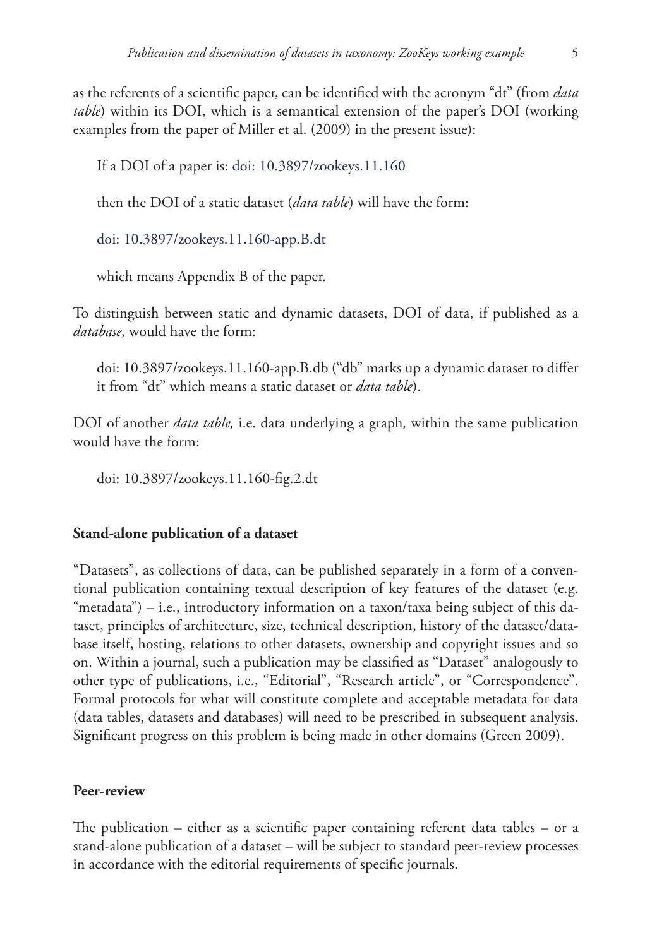as the referents of a scientific paper, can be identified with the acronym "dt" (from *data table*) within its DOI, which is a semantical extension of the paper's DOI (working examples from the paper of Miller et al. (2009) in the present issue):

If a DOI of a paper is: doi: [10.3897/zookeys.11.160](http://dx.doi.org/10.3897/zookeys.11.160)

then the DOI of a static dataset (*data table*) will have the form:

doi: [10.3897/zookeys.11.160-app.B.dt](http://dx.doi.org/10.3897/zookeys.11.160-app.B.dt)

which means Appendix B of the paper.

To distinguish between static and dynamic datasets, DOI of data, if published as a *database,* would have the form:

doi: 10.3897/zookeys.11.160-app.B.db ("db" marks up a dynamic dataset to differ it from "dt" which means a static dataset or *data table*).

DOI of another *data table,* i.e. data underlying a graph*,* within the same publication would have the form:

doi: 10.3897/zookeys.11.160-fig.2.dt

## **Stand-alone publication of a dataset**

"Datasets", as collections of data, can be published separately in a form of a conventional publication containing textual description of key features of the dataset (e.g. "metadata") – i.e., introductory information on a taxon/taxa being subject of this dataset, principles of architecture, size, technical description, history of the dataset/database itself, hosting, relations to other datasets, ownership and copyright issues and so on. Within a journal, such a publication may be classified as "Dataset" analogously to other type of publications, i.e., "Editorial", "Research article", or "Correspondence". Formal protocols for what will constitute complete and acceptable metadata for data (data tables, datasets and databases) will need to be prescribed in subsequent analysis. Significant progress on this problem is being made in other domains (Green 2009).

## **Peer-review**

The publication – either as a scientific paper containing referent data tables – or a stand-alone publication of a dataset – will be subject to standard peer-review processes in accordance with the editorial requirements of specific journals.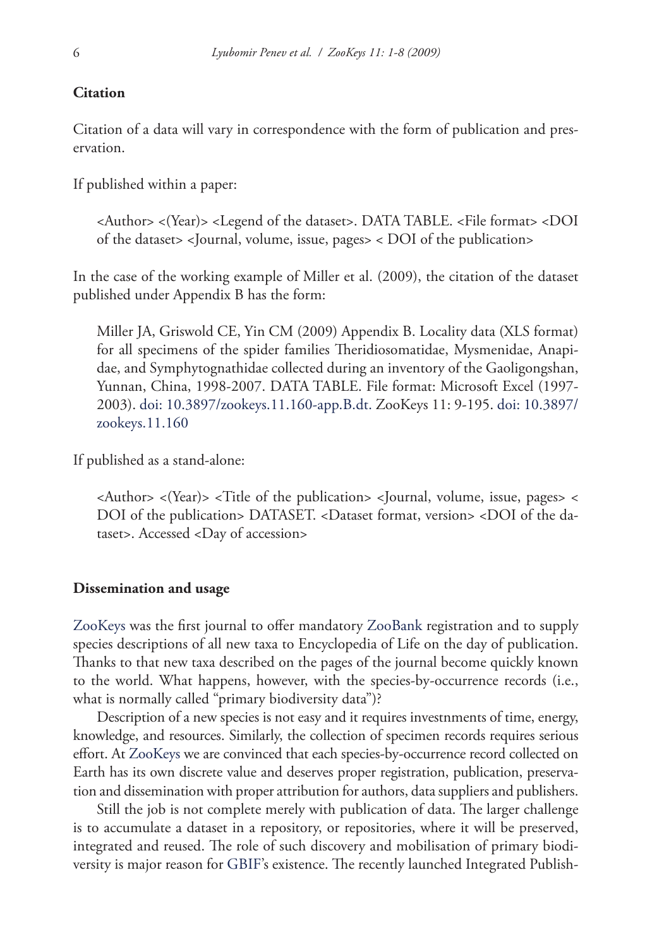## **Citation**

Citation of a data will vary in correspondence with the form of publication and preservation.

If published within a paper:

<Author> <(Year)> <Legend of the dataset>. DATA TABLE. <File format> <DOI of the dataset> <Journal, volume, issue, pages> < DOI of the publication>

In the case of the working example of Miller et al. (2009), the citation of the dataset published under Appendix B has the form:

Miller JA, Griswold CE, Yin CM (2009) Appendix B. Locality data (XLS format) for all specimens of the spider families Theridiosomatidae, Mysmenidae, Anapidae, and Symphytognathidae collected during an inventory of the Gaoligongshan, Yunnan, China, 1998-2007. DATA TABLE. File format: Microsoft Excel (1997- [2003\). doi:](http://dx.doi.org/10.3897/zookeys.11.160) [10.3897/zookeys.11.160-app.B.d](http://dx.doi.org/10.3897/zookeys.11.160-app.B.dt)[t. ZooKeys 11: 9-195. doi: 10.3897/](http://dx.doi.org/10.3897/zookeys.11.160) zookeys.11.160

If published as a stand-alone:

<Author> <(Year)> <Title of the publication> <Journal, volume, issue, pages> < DOI of the publication> DATASET. <Dataset format, version> <DOI of the dataset>. Accessed <Day of accession>

## **Dissemination and usage**

[ZooKeys](www.pensoftonline.net/zookeys) was the first journal to offer mandatory [ZooBank](http://www.zoobank.org) registration and to supply species descriptions of all new taxa to [Encyclopedia of Life](http://www.eol.org) on the day of publication. Thanks to that new taxa described on the pages of the journal become quickly known to the world. What happens, however, with the species-by-occurrence records (i.e., what is normally called "primary biodiversity data")?

Description of a new species is not easy and it requires investnments of time, energy, knowledge, and resources. Similarly, the collection of specimen records requires serious effort. At [ZooKeys](www.pensoftonline.net/zookeys) we are convinced that each species-by-occurrence record collected on Earth has its own discrete value and deserves proper registration, publication, preservation and dissemination with proper attribution for authors, data suppliers and publishers.

Still the job is not complete merely with publication of data. The larger challenge is to accumulate a dataset in a repository, or repositories, where it will be preserved, integrated and reused. The role of such discovery and mobilisation of primary biodi-versity is major reason for [GBIF's](http://www.gbif.org) existence. The recently launched Integrated Publish-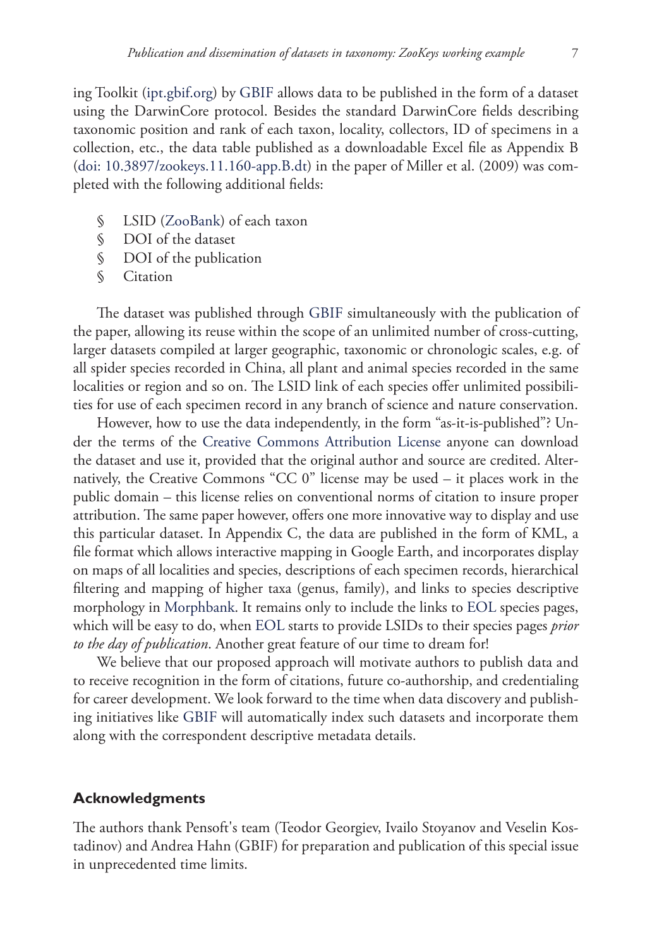ing Toolkit [\(ipt.gbif.org\)](ipt.gbif.org) by [GBIF](http://www.gbif.org) allows data to be published in the form of a dataset using the DarwinCore protocol. Besides the standard DarwinCore fields describing taxonomic position and rank of each taxon, locality, collectors, ID of specimens in a collection, etc., the data table published as a downloadable Excel file as Appendix B (doi: [10.3897/zookeys.11.160-app.B.dt](http://dx.doi.org/10.3897/zookeys.11.160-app.B.dt)) in the paper of Miller et al. (2009) was completed with the following additional fields:

- § LSID [\(ZooBank](http://www.zoobank.org)) of each taxon
- § DOI of the dataset
- § DOI of the publication
- § Citation

The dataset was published through [GBIF](http://www.gbif.org) simultaneously with the publication of the paper, allowing its reuse within the scope of an unlimited number of cross-cutting, larger datasets compiled at larger geographic, taxonomic or chronologic scales, e.g. of all spider species recorded in China, all plant and animal species recorded in the same localities or region and so on. The LSID link of each species offer unlimited possibilities for use of each specimen record in any branch of science and nature conservation.

However, how to use the data independently, in the form "as-it-is-published"? Under the terms of the [Creative Commons Attribution License](http://creativecommons.org/licenses/by/3.0/) anyone can download the dataset and use it, provided that the original author and source are credited. Alternatively, the Creative Commons "CC 0" license may be used – it places work in the public domain – this license relies on conventional norms of citation to insure proper attribution. The same paper however, offers one more innovative way to display and use this particular dataset. In Appendix C, the data are published in the form of KML, a file format which allows interactive mapping in Google Earth, and incorporates display on maps of all localities and species, descriptions of each specimen records, hierarchical filtering and mapping of higher taxa (genus, family), and links to species descriptive morphology in [Morphbank.](http://www.morphbank.net) It remains only to include the links to [EOL](http://www.eol.org) species pages, which will be easy to do, when [EOL](http://www.eol.org) starts to provide LSIDs to their species pages *prior to the day of publication*. Another great feature of our time to dream for!

We believe that our proposed approach will motivate authors to publish data and to receive recognition in the form of citations, future co-authorship, and credentialing for career development. We look forward to the time when data discovery and publishing initiatives like [GBIF](http://www.gbif.org) will automatically index such datasets and incorporate them along with the correspondent descriptive metadata details.

## **Acknowledgments**

The authors thank Pensoft's team (Teodor Georgiev, Ivailo Stoyanov and Veselin Kostadinov) and Andrea Hahn ([GBIF\)](http://www.gbif.org) for preparation and publication of this special issue in unprecedented time limits.